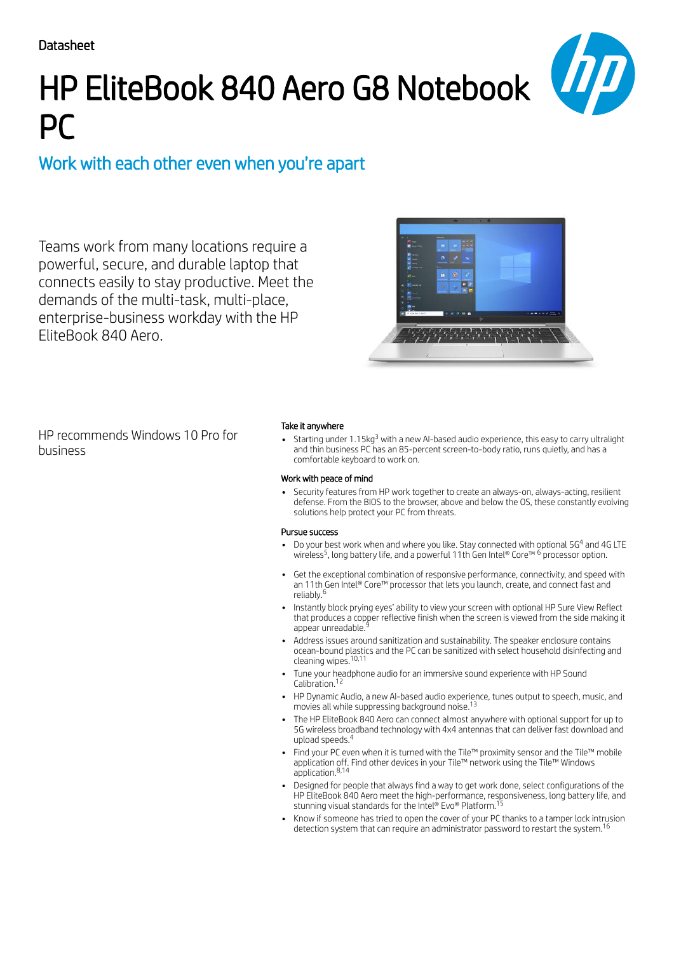# HP EliteBook 840 Aero G8 Notebook PC

## Work with each other even when you're apart

Teams work from many locations require a powerful, secure, and durable laptop that connects easily to stay productive. Meet the demands of the multi-task, multi-place, enterprise-business workday with the HP EliteBook 840 Aero.



HP recommends Windows 10 Pro for business

### Take it anywhere

Starting under 1.15 $\mathrm{kg}^3$  with a new AI-based audio experience, this easy to carry ultralight and thin business PC has an 85-percent screen-to-body ratio, runs quietly, and has a comfortable keyboard to work on.

#### Work with peace of mind

Security features from HP work together to create an always-on, always-acting, resilient defense. From the BIOS to the browser, above and below the OS, these constantly evolving solutions help protect your PC from threats.

#### Pursue success

- Do your best work when and where you like. Stay connected with optional 5G $^{\rm 4}$  and 4G LTE wireless<sup>5</sup>, long battery life, and a powerful 11th Gen Intel® Core™  $^6$  processor option.
- Get the exceptional combination of responsive performance, connectivity, and speed with an 11th Gen Intel® Core™ processor that lets you launch, create, and connect fast and reliably. 6
- Instantly block prying eyes' ability to view your screen with optional HP Sure View Reflect that produces a copper reflective finish when the screen is viewed from the side making it<br>appear unreadable <sup>9</sup> appear unreadable.
- Address issues around sanitization and sustainability. The speaker enclosure contains ocean-bound plastics and the PC can be sanitized with select household disinfecting and cleaning wipes. 10,11
- Tune your headphone audio for an immersive sound experience with HP Sound Calibration. 12
- HP Dynamic Audio, a new AI-based audio experience, tunes output to speech, music, and movies all while suppressing background noise. 13
- The HP EliteBook 840 Aero can connect almost anywhere with optional support for up to 5G wireless broadband technology with 4x4 antennas that can deliver fast download and upload speeds. 4
- Find your PC even when it is turned with the Tile™ proximity sensor and the Tile™ mobile application off. Find other devices in your Tile™ network using the Tile™ Windows application. 8,14
- Designed for people that always find a way to get work done, select configurations of the HP EliteBook 840 Aero meet the high-performance, responsiveness, long battery life, and<br>stunning visual standards for the Intel® Evo® Platform <sup>15</sup> stunning visual standards for the Intel® Evo® Platform.
- Know if someone has tried to open the cover of your PC thanks to a tamper lock intrusion detection system that can require an administrator password to restart the system. 16

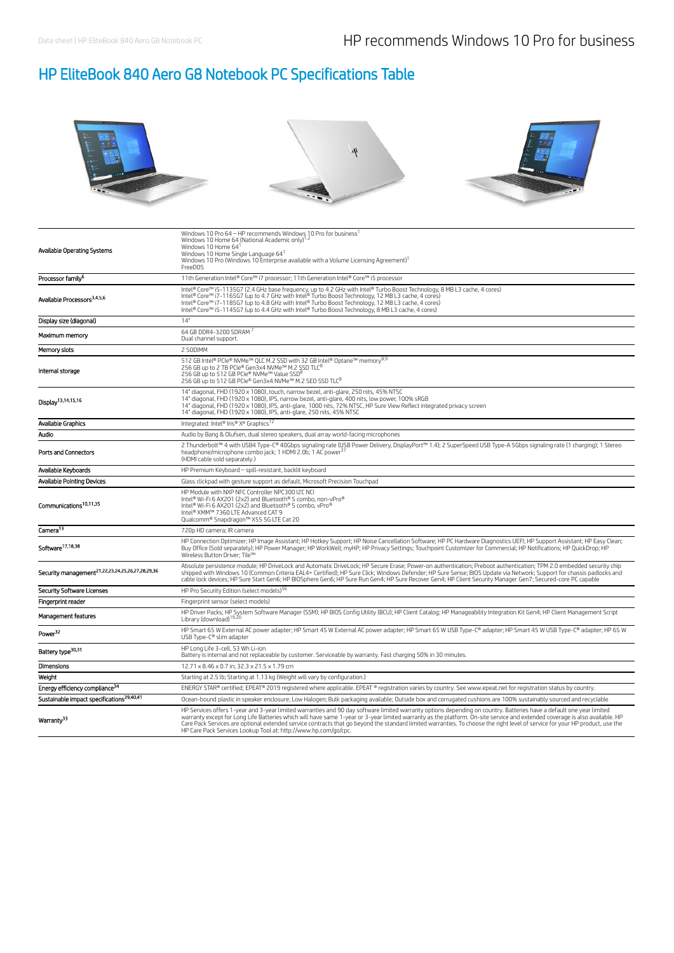### HP EliteBook 840 Aero G8 Notebook PC Specifications Table



| Available Operating Systems                                  | Windows 10 Pro 64 - HP recommends Windows 10 Pro for business <sup>1</sup><br>Windows 10 Home 64 (National Academic only) <sup>1,2</sup><br>Windows 10 Home 641<br>Windows 10 Home Single Language 641<br>Windows 10 Pro (Windows 10 Enterprise available with a Volume Licensing Agreement) <sup>1</sup><br>FreeDOS                                                                                                                                                                                                                                                                                   |
|--------------------------------------------------------------|--------------------------------------------------------------------------------------------------------------------------------------------------------------------------------------------------------------------------------------------------------------------------------------------------------------------------------------------------------------------------------------------------------------------------------------------------------------------------------------------------------------------------------------------------------------------------------------------------------|
| Processor family <sup>6</sup>                                | 11th Generation Intel® Core™ i7 processor; 11th Generation Intel® Core™ i5 processor                                                                                                                                                                                                                                                                                                                                                                                                                                                                                                                   |
| Available Processors <sup>3,4,5,6</sup>                      | Intel® Core™ i5-1135G7 (2.4 GHz base frequency, up to 4.2 GHz with Intel® Turbo Boost Technology, 8 MB L3 cache, 4 cores)<br>intel® Core® 17-116567 (up to 4.7 GHz with Intel® Turbo Boost Technology, 12 MB L3 cache, 4 cores)<br>Intel® Core® 17-116567 (up to 4.7 GHz with Intel® Turbo Boost Technology, 12 MB L3 cache, 4 cores)<br>Intel® Core® 17-116567 (                                                                                                                                                                                                                                      |
| Display size (diagonal)                                      | 14"                                                                                                                                                                                                                                                                                                                                                                                                                                                                                                                                                                                                    |
| Maximum memory                                               | 64 GB DDR4-3200 SDRAM <sup>7</sup><br>Dual channel support.                                                                                                                                                                                                                                                                                                                                                                                                                                                                                                                                            |
| Memory slots                                                 | 2 SODIMM                                                                                                                                                                                                                                                                                                                                                                                                                                                                                                                                                                                               |
| Internal storage                                             | 512 GB Intel® PCIe® NVMe™ QLC M.2 SSD with 32 GB Intel® Optane™ memory <sup>8,9</sup><br>256 GB up to 2 TB PCIe® Gen3x4 NVMe™ M.2 SSD TLC <sup>8</sup><br>256 GB up to 512 GB PCIe® NVMe™ Value SSD <sup>8</sup><br>256 GB up to 512 GB PCIe® Gen3x4 NVMe™ M.2 SED SSD TLC <sup>8</sup>                                                                                                                                                                                                                                                                                                                |
| Display <sup>13,14,15,16</sup>                               | 14" diagonal, FHD (1920 x 1080), touch, narrow bezel, anti-glare, 250 nits, 45% NTSC<br>14" diagonal, FHD (1920 x 1080), IPS, narrow bezel, anti-glare, 400 nits, low power, 100% sRGB<br>14" diagonal, FHD (1920 x 1080), IPS, anti-glare, 1000 nits, 72% NTSC, HP Sure View Reflect integrated privacy screen<br>14" diagonal, FHD (1920 x 1080), IPS, anti-glare, 250 nits, 45% NTSC                                                                                                                                                                                                                |
| Available Graphics                                           | Integrated: Intel® Iris® X <sup>e</sup> Graphics <sup>12</sup>                                                                                                                                                                                                                                                                                                                                                                                                                                                                                                                                         |
| Audio                                                        | Audio by Bang & Olufsen, dual stereo speakers, dual array world-facing microphones                                                                                                                                                                                                                                                                                                                                                                                                                                                                                                                     |
| Ports and Connectors                                         | 2 Thunderbolt™ 4 with USB4 Type-C® 40Gbps signaling rate (USB Power Delivery, DisplayPort™ 1.4); 2 SuperSpeed USB Type-A 5Gbps signaling rate (1 charging); 1 Stereo<br>headphone/microphone combo jack; 1 HDMI 2.0b; 1 AC power <sup>37</sup><br>(HDMI cable sold separately.)                                                                                                                                                                                                                                                                                                                        |
| Available Keyboards                                          | HP Premium Keyboard - spill-resistant, backlit keyboard                                                                                                                                                                                                                                                                                                                                                                                                                                                                                                                                                |
| <b>Available Pointing Devices</b>                            | Glass clickpad with gesture support as default, Microsoft Precision Touchpad                                                                                                                                                                                                                                                                                                                                                                                                                                                                                                                           |
| Communications <sup>10,11,35</sup>                           | HP Module with NXP NFC Controller NPC300 I2C NCI<br>Intel® Wi-Fi 6 AX201 (2x2) and Bluetooth® 5 combo, non-vPro®<br>Intel® Wi-Fi 6 AX201 (2x2) and Bluetooth® 5 combo, vPro®<br>Intel® XMM™ 7360 LTE Advanced CAT 9<br>Qualcomm® Snapdragon™ X55 5G LTE Cat 20                                                                                                                                                                                                                                                                                                                                         |
| Camera <sup>13</sup>                                         | 720p HD camera; IR camera                                                                                                                                                                                                                                                                                                                                                                                                                                                                                                                                                                              |
| Software <sup>17,18,38</sup>                                 | HP Connection Optimizer; HP Image Assistant; HP Hotkey Support; HP Noise Cancellation Software; HP PC Hardware Diagnostics UEFI; HP Support Assistant; HP Easy Clean;<br>Buy Office (Sold separately); HP Power Manager; HP WorkWell; myHP; HP Privacy Settings; Touchpoint Customizer for Commercial; HP Notifications; HP QuickDrop; HP<br>Wireless Button Driver: Tile™                                                                                                                                                                                                                             |
| Security management <sup>21,22,23,24,25,26,27,28,29,36</sup> | Absolute persistence module; HP DriveLock and Automatic DriveLock; HP Secure Erase; Power-on authentication; Preboot authentication; TPM 2.0 embedded security chip<br>shipped with Windows 10 (Common Criteria EAL4+ Certified); HP Sure Click; Windows Defender; HP Sure Sense; BIOS Update via Network; Support for chassis padlocks and<br>cable lock devices; HP Sure Start Gen6; HP BIOSphere Gen6; HP Sure Run Gen4; HP Sure Recover Gen4; HP Client Security Manager Gen7; Secured-core PC capable                                                                                             |
| <b>Security Software Licenses</b>                            | HP Pro Security Edition (select models) <sup>56</sup>                                                                                                                                                                                                                                                                                                                                                                                                                                                                                                                                                  |
| Fingerprint reader                                           | Fingerprint sensor (select models)                                                                                                                                                                                                                                                                                                                                                                                                                                                                                                                                                                     |
| Management features                                          | HP Driver Packs; HP System Software Manager (SSM); HP BIOS Config Utility (BCU); HP Client Catalog; HP Manageability Integration Kit Gen4; HP Client Management Script                                                                                                                                                                                                                                                                                                                                                                                                                                 |
| Power <sup>32</sup>                                          | HP Smart 65 W External AC power adapter; HP Smart 45 W External AC power adapter; HP Smart 65 W USB Type-C® adapter; HP Smart 45 W USB Type-C® adapter; HP 65 W<br>USB Type-C® slim adapter                                                                                                                                                                                                                                                                                                                                                                                                            |
| Battery type <sup>30,31</sup>                                | HP Long Life 3-cell, 53 Wh Li-ion<br>Battery is internal and not replaceable by customer. Serviceable by warranty. Fast charging 50% in 30 minutes.                                                                                                                                                                                                                                                                                                                                                                                                                                                    |
| Dimensions                                                   | 12.71 x 8.46 x 0.7 in; 32.3 x 21.5 x 1.79 cm                                                                                                                                                                                                                                                                                                                                                                                                                                                                                                                                                           |
| Weight                                                       | Starting at 2.5 lb; Starting at 1.13 kg (Weight will vary by configuration.)                                                                                                                                                                                                                                                                                                                                                                                                                                                                                                                           |
| Energy efficiency compliance <sup>34</sup>                   | ENERGY STAR® certified; EPEAT® 2019 registered where applicable. EPEAT ® registration varies by country. See www.epeat.net for registration status by country.                                                                                                                                                                                                                                                                                                                                                                                                                                         |
| Sustainable impact specifications <sup>39,40,41</sup>        | Ocean-bound plastic in speaker enclosure; Low Halogen; Bulk packaging available; Outside box and corrugated cushions are 100% sustainably sourced and recyclable                                                                                                                                                                                                                                                                                                                                                                                                                                       |
| Warranty <sup>33</sup>                                       | HP Services offers 1-year and 3-year limited warranties and 90 day software limited warranty options depending on country. Batteries have a default one year limited<br>warranty except for Long Life Batteries which will have same 1-year or 3-year limited warranty as the platform. On-site service and extended coverage is also available. HP<br>Care Pack Services are optional extended service contracts that go beyond the standard limited warranties. To choose the right level of service for your HP product, use the<br>HP Care Pack Services Lookup Tool at: http://www.hp.com/go/cpc. |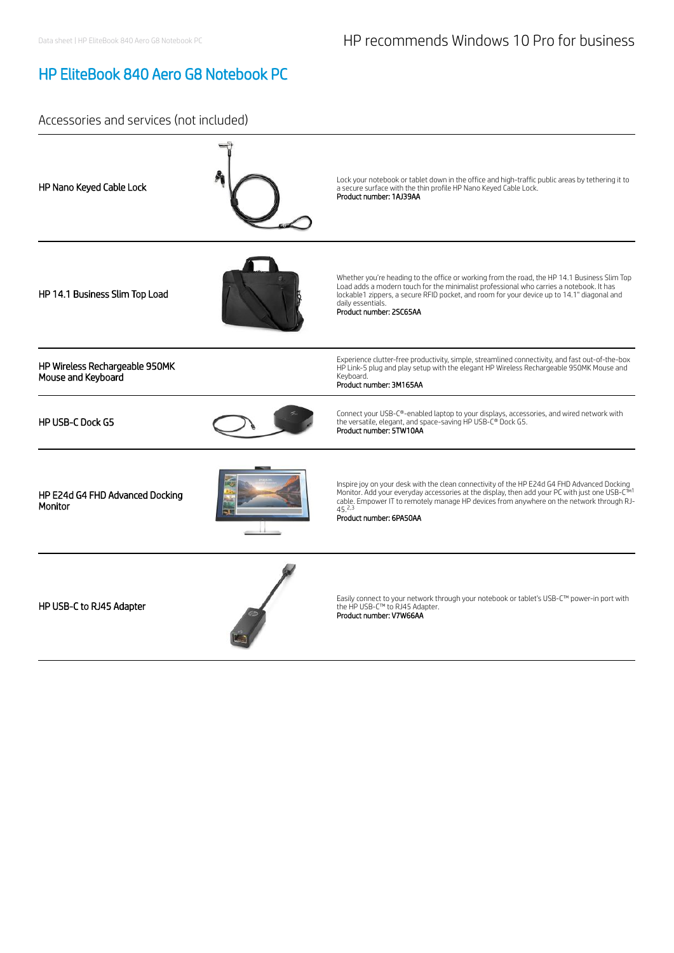### HP EliteBook 840 Aero G8 Notebook PC

### Accessories and services (not included)